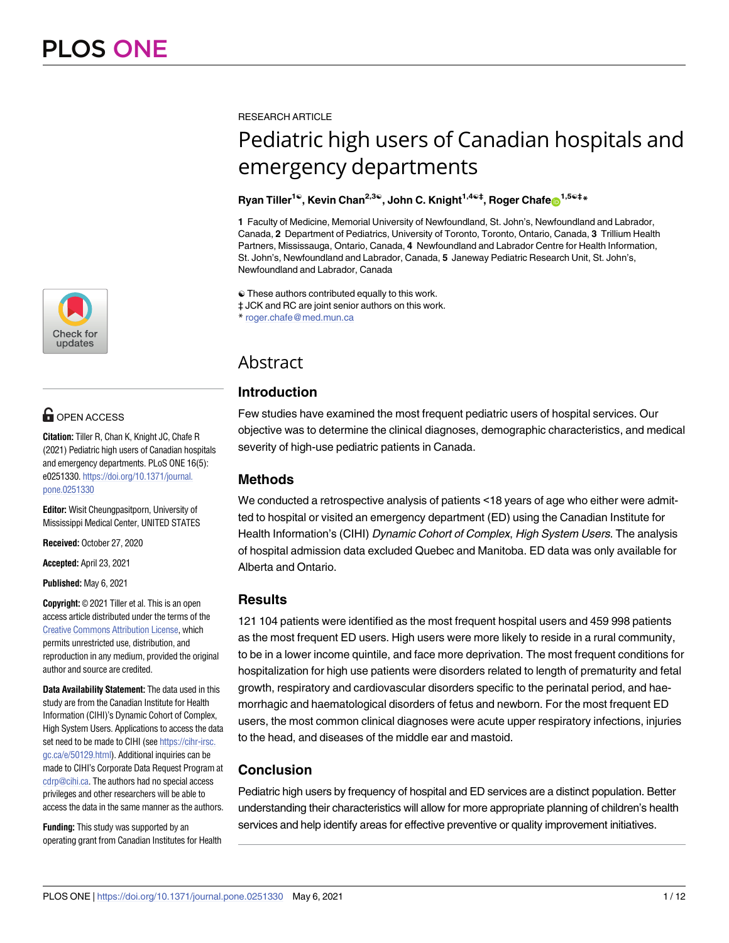

# **OPEN ACCESS**

**Citation:** Tiller R, Chan K, Knight JC, Chafe R (2021) Pediatric high users of Canadian hospitals and emergency departments. PLoS ONE 16(5): e0251330. [https://doi.org/10.1371/journal.](https://doi.org/10.1371/journal.pone.0251330) [pone.0251330](https://doi.org/10.1371/journal.pone.0251330)

**Editor:** Wisit Cheungpasitporn, University of Mississippi Medical Center, UNITED STATES

**Received:** October 27, 2020

**Accepted:** April 23, 2021

**Published:** May 6, 2021

**Copyright:** © 2021 Tiller et al. This is an open access article distributed under the terms of the Creative Commons [Attribution](http://creativecommons.org/licenses/by/4.0/) License, which permits unrestricted use, distribution, and reproduction in any medium, provided the original author and source are credited.

**Data Availability Statement:** The data used in this study are from the Canadian Institute for Health Information (CIHI)'s Dynamic Cohort of Complex, High System Users. Applications to access the data set need to be made to CIHI (see [https://cihr-irsc.](https://cihr-irsc.gc.ca/e/50129.html) [gc.ca/e/50129.html](https://cihr-irsc.gc.ca/e/50129.html)). Additional inquiries can be made to CIHI's Corporate Data Request Program at [cdrp@cihi.ca](mailto:cdrp@cihi.ca). The authors had no special access privileges and other researchers will be able to access the data in the same manner as the authors.

**Funding:** This study was supported by an operating grant from Canadian Institutes for Health RESEARCH ARTICLE

# Pediatric high users of Canadian hospitals and emergency departments

# ${\sf R}$ yan  ${\sf Tiller}^{1@}$ ,  ${\sf Kevin}$   ${\sf Chan}^{2,3@}$ ,  ${\sf John}$   ${\sf C}.$   ${\sf Knight}^{1,4@{\ddagger}}, {\sf Roger}$   ${\sf Chafe}$   $\hbox{\small$\sf D$}^{1,5@{\ddagger}*}$

**1** Faculty of Medicine, Memorial University of Newfoundland, St. John's, Newfoundland and Labrador, Canada, **2** Department of Pediatrics, University of Toronto, Toronto, Ontario, Canada, **3** Trillium Health Partners, Mississauga, Ontario, Canada, **4** Newfoundland and Labrador Centre for Health Information, St. John's, Newfoundland and Labrador, Canada, **5** Janeway Pediatric Research Unit, St. John's, Newfoundland and Labrador, Canada

☯ These authors contributed equally to this work.

‡ JCK and RC are joint senior authors on this work.

\* roger.chafe@med.mun.ca

# Abstract

# **Introduction**

Few studies have examined the most frequent pediatric users of hospital services. Our objective was to determine the clinical diagnoses, demographic characteristics, and medical severity of high-use pediatric patients in Canada.

# **Methods**

We conducted a retrospective analysis of patients <18 years of age who either were admitted to hospital or visited an emergency department (ED) using the Canadian Institute for Health Information's (CIHI) Dynamic Cohort of Complex, High System Users. The analysis of hospital admission data excluded Quebec and Manitoba. ED data was only available for Alberta and Ontario.

# **Results**

121 104 patients were identified as the most frequent hospital users and 459 998 patients as the most frequent ED users. High users were more likely to reside in a rural community, to be in a lower income quintile, and face more deprivation. The most frequent conditions for hospitalization for high use patients were disorders related to length of prematurity and fetal growth, respiratory and cardiovascular disorders specific to the perinatal period, and haemorrhagic and haematological disorders of fetus and newborn. For the most frequent ED users, the most common clinical diagnoses were acute upper respiratory infections, injuries to the head, and diseases of the middle ear and mastoid.

# **Conclusion**

Pediatric high users by frequency of hospital and ED services are a distinct population. Better understanding their characteristics will allow for more appropriate planning of children's health services and help identify areas for effective preventive or quality improvement initiatives.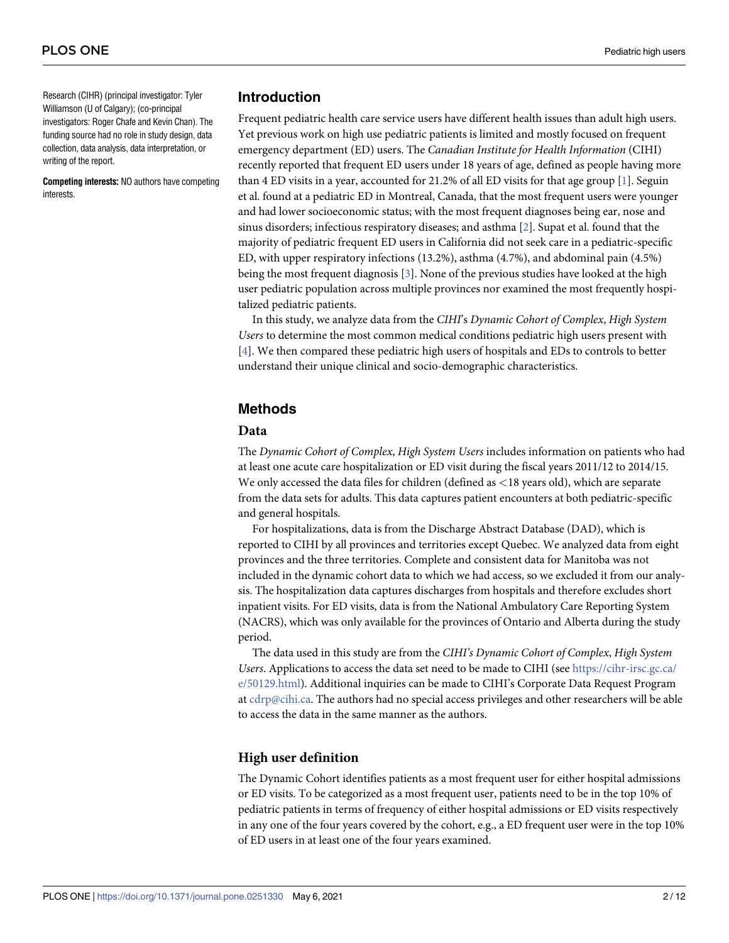<span id="page-1-0"></span>Research (CIHR) (principal investigator: Tyler Williamson (U of Calgary); (co-principal investigators: Roger Chafe and Kevin Chan). The funding source had no role in study design, data collection, data analysis, data interpretation, or writing of the report.

**Competing interests:** NO authors have competing interests.

#### **Introduction**

Frequent pediatric health care service users have different health issues than adult high users. Yet previous work on high use pediatric patients is limited and mostly focused on frequent emergency department (ED) users. The *Canadian Institute for Health Information* (CIHI) recently reported that frequent ED users under 18 years of age, defined as people having more than 4 ED visits in a year, accounted for 21.2% of all ED visits for that age group [\[1\]](#page-10-0). Seguin et al. found at a pediatric ED in Montreal, Canada, that the most frequent users were younger and had lower socioeconomic status; with the most frequent diagnoses being ear, nose and sinus disorders; infectious respiratory diseases; and asthma [\[2](#page-10-0)]. Supat et al. found that the majority of pediatric frequent ED users in California did not seek care in a pediatric-specific ED, with upper respiratory infections (13.2%), asthma (4.7%), and abdominal pain (4.5%) being the most frequent diagnosis [\[3\]](#page-10-0). None of the previous studies have looked at the high user pediatric population across multiple provinces nor examined the most frequently hospitalized pediatric patients.

In this study, we analyze data from the *CIHI*'s *Dynamic Cohort of Complex*, *High System Users* to determine the most common medical conditions pediatric high users present with [\[4](#page-10-0)]. We then compared these pediatric high users of hospitals and EDs to controls to better understand their unique clinical and socio-demographic characteristics.

# **Methods**

#### **Data**

The *Dynamic Cohort of Complex*, *High System Users* includes information on patients who had at least one acute care hospitalization or ED visit during the fiscal years 2011/12 to 2014/15. We only accessed the data files for children (defined as *<*18 years old), which are separate from the data sets for adults. This data captures patient encounters at both pediatric-specific and general hospitals.

For hospitalizations, data is from the Discharge Abstract Database (DAD), which is reported to CIHI by all provinces and territories except Quebec. We analyzed data from eight provinces and the three territories. Complete and consistent data for Manitoba was not included in the dynamic cohort data to which we had access, so we excluded it from our analysis. The hospitalization data captures discharges from hospitals and therefore excludes short inpatient visits. For ED visits, data is from the National Ambulatory Care Reporting System (NACRS), which was only available for the provinces of Ontario and Alberta during the study period.

The data used in this study are from the *CIHI's Dynamic Cohort of Complex*, *High System Users*. Applications to access the data set need to be made to CIHI (see [https://cihr-irsc.gc.ca/](https://cihr-irsc.gc.ca/e/50129.html) [e/50129.html\)](https://cihr-irsc.gc.ca/e/50129.html). Additional inquiries can be made to CIHI's Corporate Data Request Program at cdrp@cihi.ca. The authors had no special access privileges and other researchers will be able to access the data in the same manner as the authors.

# **High user definition**

The Dynamic Cohort identifies patients as a most frequent user for either hospital admissions or ED visits. To be categorized as a most frequent user, patients need to be in the top 10% of pediatric patients in terms of frequency of either hospital admissions or ED visits respectively in any one of the four years covered by the cohort, e.g., a ED frequent user were in the top 10% of ED users in at least one of the four years examined.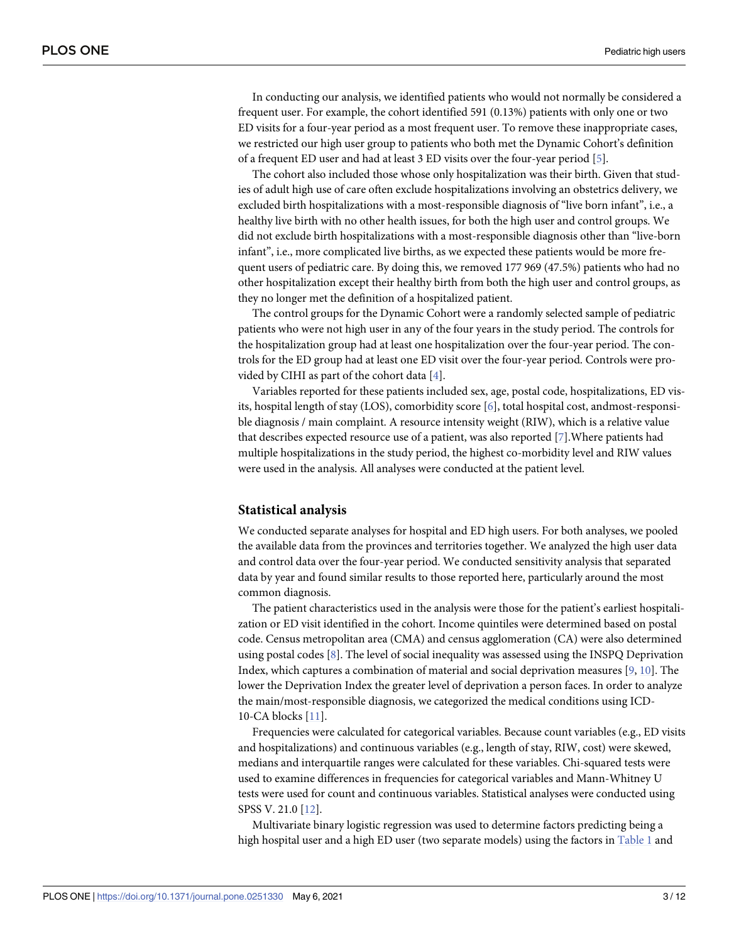<span id="page-2-0"></span>In conducting our analysis, we identified patients who would not normally be considered a frequent user. For example, the cohort identified 591 (0.13%) patients with only one or two ED visits for a four-year period as a most frequent user. To remove these inappropriate cases, we restricted our high user group to patients who both met the Dynamic Cohort's definition of a frequent ED user and had at least 3 ED visits over the four-year period [\[5\]](#page-10-0).

The cohort also included those whose only hospitalization was their birth. Given that studies of adult high use of care often exclude hospitalizations involving an obstetrics delivery, we excluded birth hospitalizations with a most-responsible diagnosis of "live born infant", i.e., a healthy live birth with no other health issues, for both the high user and control groups. We did not exclude birth hospitalizations with a most-responsible diagnosis other than "live-born infant", i.e., more complicated live births, as we expected these patients would be more frequent users of pediatric care. By doing this, we removed 177 969 (47.5%) patients who had no other hospitalization except their healthy birth from both the high user and control groups, as they no longer met the definition of a hospitalized patient.

The control groups for the Dynamic Cohort were a randomly selected sample of pediatric patients who were not high user in any of the four years in the study period. The controls for the hospitalization group had at least one hospitalization over the four-year period. The controls for the ED group had at least one ED visit over the four-year period. Controls were provided by CIHI as part of the cohort data [[4\]](#page-10-0).

Variables reported for these patients included sex, age, postal code, hospitalizations, ED visits, hospital length of stay (LOS), comorbidity score [[6](#page-10-0)], total hospital cost, andmost-responsible diagnosis / main complaint. A resource intensity weight (RIW), which is a relative value that describes expected resource use of a patient, was also reported [\[7\]](#page-10-0).Where patients had multiple hospitalizations in the study period, the highest co-morbidity level and RIW values were used in the analysis. All analyses were conducted at the patient level.

#### **Statistical analysis**

We conducted separate analyses for hospital and ED high users. For both analyses, we pooled the available data from the provinces and territories together. We analyzed the high user data and control data over the four-year period. We conducted sensitivity analysis that separated data by year and found similar results to those reported here, particularly around the most common diagnosis.

The patient characteristics used in the analysis were those for the patient's earliest hospitalization or ED visit identified in the cohort. Income quintiles were determined based on postal code. Census metropolitan area (CMA) and census agglomeration (CA) were also determined using postal codes [[8\]](#page-10-0). The level of social inequality was assessed using the INSPQ Deprivation Index, which captures a combination of material and social deprivation measures [\[9,](#page-10-0) [10\]](#page-10-0). The lower the Deprivation Index the greater level of deprivation a person faces. In order to analyze the main/most-responsible diagnosis, we categorized the medical conditions using ICD-10-CA blocks [[11](#page-10-0)].

Frequencies were calculated for categorical variables. Because count variables (e.g., ED visits and hospitalizations) and continuous variables (e.g., length of stay, RIW, cost) were skewed, medians and interquartile ranges were calculated for these variables. Chi-squared tests were used to examine differences in frequencies for categorical variables and Mann-Whitney U tests were used for count and continuous variables. Statistical analyses were conducted using SPSS V. 21.0 [[12](#page-10-0)].

Multivariate binary logistic regression was used to determine factors predicting being a high hospital user and a high ED user (two separate models) using the factors in [Table](#page-4-0) 1 and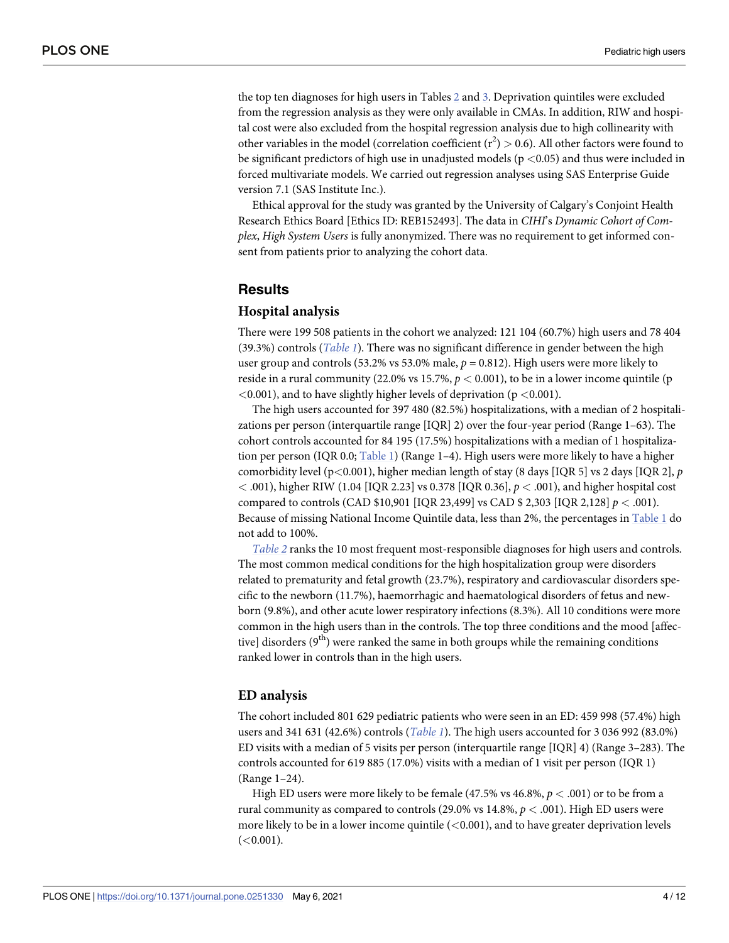<span id="page-3-0"></span>the top ten diagnoses for high users in Tables [2](#page-5-0) and [3](#page-5-0). Deprivation quintiles were excluded from the regression analysis as they were only available in CMAs. In addition, RIW and hospital cost were also excluded from the hospital regression analysis due to high collinearity with other variables in the model (correlation coefficient  $(r^2) > 0.6$ ). All other factors were found to be significant predictors of high use in unadjusted models (p *<*0.05) and thus were included in forced multivariate models. We carried out regression analyses using SAS Enterprise Guide version 7.1 (SAS Institute Inc.).

Ethical approval for the study was granted by the University of Calgary's Conjoint Health Research Ethics Board [Ethics ID: REB152493]. The data in *CIHI*'s *Dynamic Cohort of Complex*, *High System Users* is fully anonymized. There was no requirement to get informed consent from patients prior to analyzing the cohort data.

#### **Results**

#### **Hospital analysis**

There were 199 508 patients in the cohort we analyzed: 121 104 (60.7%) high users and 78 404 (39.3%) controls (*[Table](#page-4-0) 1*). There was no significant difference in gender between the high user group and controls (53.2% vs 53.0% male, *p* = 0.812). High users were more likely to reside in a rural community (22.0% vs 15.7%, *p <* 0.001), to be in a lower income quintile (p *<*0.001), and to have slightly higher levels of deprivation (p *<*0.001).

The high users accounted for 397 480 (82.5%) hospitalizations, with a median of 2 hospitalizations per person (interquartile range [IQR] 2) over the four-year period (Range 1–63). The cohort controls accounted for 84 195 (17.5%) hospitalizations with a median of 1 hospitaliza-tion per person (IQR 0.0; [Table](#page-4-0) 1) (Range 1-4). High users were more likely to have a higher comorbidity level (p*<*0.001), higher median length of stay (8 days [IQR 5] vs 2 days [IQR 2], *p <* .001), higher RIW (1.04 [IQR 2.23] vs 0.378 [IQR 0.36], *p <* .001), and higher hospital cost compared to controls (CAD \$10,901 [IQR 23,499] vs CAD \$ 2,303 [IQR 2,128] *p <* .001). Because of missing National Income Quintile data, less than 2%, the percentages in [Table](#page-4-0) 1 do not add to 100%.

*[Table](#page-5-0) 2* ranks the 10 most frequent most-responsible diagnoses for high users and controls. The most common medical conditions for the high hospitalization group were disorders related to prematurity and fetal growth (23.7%), respiratory and cardiovascular disorders specific to the newborn (11.7%), haemorrhagic and haematological disorders of fetus and newborn (9.8%), and other acute lower respiratory infections (8.3%). All 10 conditions were more common in the high users than in the controls. The top three conditions and the mood [affective] disorders  $(9<sup>th</sup>)$  were ranked the same in both groups while the remaining conditions ranked lower in controls than in the high users.

#### **ED analysis**

The cohort included 801 629 pediatric patients who were seen in an ED: 459 998 (57.4%) high users and 341 631 (42.6%) controls (*[Table](#page-4-0) 1*). The high users accounted for 3 036 992 (83.0%) ED visits with a median of 5 visits per person (interquartile range [IQR] 4) (Range 3–283). The controls accounted for 619 885 (17.0%) visits with a median of 1 visit per person (IQR 1) (Range 1–24).

High ED users were more likely to be female (47.5% vs 46.8%, *p <* .001) or to be from a rural community as compared to controls (29.0% vs 14.8%, *p <* .001). High ED users were more likely to be in a lower income quintile (*<*0.001), and to have greater deprivation levels (*<*0.001).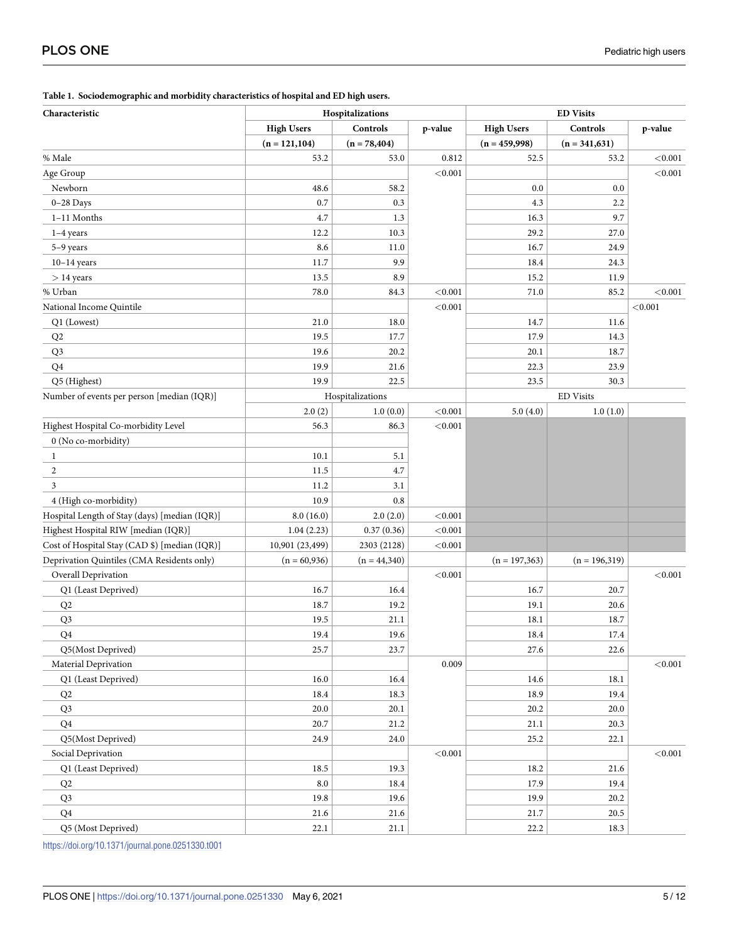| Characteristic                                |                   | Hospitalizations |         | <b>ED Visits</b>  |                  |         |  |
|-----------------------------------------------|-------------------|------------------|---------|-------------------|------------------|---------|--|
|                                               | <b>High Users</b> | Controls         | p-value | <b>High Users</b> | Controls         | p-value |  |
|                                               | $(n = 121, 104)$  | $(n = 78,404)$   |         | $(n = 459,998)$   | $(n = 341,631)$  |         |  |
| % Male                                        | 53.2              | 53.0             | 0.812   | 52.5              | 53.2             | < 0.001 |  |
| Age Group                                     |                   |                  | < 0.001 |                   |                  | < 0.001 |  |
| Newborn                                       | 48.6              | 58.2             |         | 0.0               | 0.0              |         |  |
| $0-28$ Days                                   | 0.7               | 0.3              |         | 4.3               | 2.2              |         |  |
| 1-11 Months                                   | 4.7               | 1.3              |         | 16.3              | 9.7              |         |  |
| $1-4$ years                                   | 12.2              | 10.3             |         | 29.2              | 27.0             |         |  |
| 5-9 years                                     | 8.6               | 11.0             |         | 16.7              | 24.9             |         |  |
| $10-14$ years                                 | 11.7              | 9.9              |         | 18.4              | 24.3             |         |  |
| $> 14$ years                                  | 13.5              | 8.9              |         | 15.2              | 11.9             |         |  |
| % Urban                                       | 78.0              | 84.3             | < 0.001 | 71.0              | 85.2             | < 0.001 |  |
| National Income Quintile                      |                   |                  | < 0.001 |                   |                  | < 0.001 |  |
| Q1 (Lowest)                                   | 21.0              | 18.0             |         | 14.7              | 11.6             |         |  |
| Q2                                            | 19.5              | 17.7             |         | 17.9              | 14.3             |         |  |
| Q <sub>3</sub>                                | 19.6              | 20.2             |         | 20.1              | 18.7             |         |  |
| Q <sub>4</sub>                                | 19.9              | 21.6             |         | 22.3              | 23.9             |         |  |
| Q5 (Highest)                                  | 19.9              | 22.5             |         | 23.5              | 30.3             |         |  |
| Number of events per person [median (IQR)]    |                   | Hospitalizations |         | <b>ED</b> Visits  |                  |         |  |
|                                               | 2.0(2)            | 1.0(0.0)         | < 0.001 | 5.0(4.0)          | 1.0(1.0)         |         |  |
| Highest Hospital Co-morbidity Level           | 56.3              | 86.3             | < 0.001 |                   |                  |         |  |
| 0 (No co-morbidity)                           |                   |                  |         |                   |                  |         |  |
| 1                                             | 10.1              | 5.1              |         |                   |                  |         |  |
| $\overline{c}$                                | 11.5              | 4.7              |         |                   |                  |         |  |
| 3                                             | 11.2              | 3.1              |         |                   |                  |         |  |
| 4 (High co-morbidity)                         | 10.9              | 0.8              |         |                   |                  |         |  |
| Hospital Length of Stay (days) [median (IQR)] | 8.0(16.0)         | 2.0(2.0)         | < 0.001 |                   |                  |         |  |
| Highest Hospital RIW [median (IQR)]           | 1.04(2.23)        | 0.37(0.36)       | < 0.001 |                   |                  |         |  |
| Cost of Hospital Stay (CAD \$) [median (IQR)] | 10,901 (23,499)   | 2303 (2128)      | < 0.001 |                   |                  |         |  |
| Deprivation Quintiles (CMA Residents only)    | $(n = 60,936)$    | $(n = 44,340)$   |         | $(n = 197,363)$   | $(n = 196, 319)$ |         |  |
| Overall Deprivation                           |                   |                  | < 0.001 |                   |                  | < 0.001 |  |
| Q1 (Least Deprived)                           | 16.7              | 16.4             |         | 16.7              | 20.7             |         |  |
| Q2                                            | 18.7              | 19.2             |         | 19.1              | 20.6             |         |  |
| Q <sub>3</sub>                                | 19.5              | 21.1             |         | 18.1              | 18.7             |         |  |
| Q <sub>4</sub>                                | 19.4              | 19.6             |         | 18.4              | 17.4             |         |  |
| Q5(Most Deprived)                             | 25.7              | 23.7             |         | 27.6              | 22.6             |         |  |
| Material Deprivation                          |                   |                  | 0.009   |                   |                  | < 0.001 |  |
| Q1 (Least Deprived)                           | 16.0              | 16.4             |         | 14.6              | 18.1             |         |  |
| Q2                                            | 18.4              | 18.3             |         | 18.9              | 19.4             |         |  |
| Q <sub>3</sub>                                | 20.0              | 20.1             |         | 20.2              | 20.0             |         |  |
| Q <sub>4</sub>                                | 20.7              | 21.2             |         | 21.1              | 20.3             |         |  |
| Q5(Most Deprived)                             | 24.9              | 24.0             |         | 25.2              | 22.1             |         |  |
| Social Deprivation                            |                   |                  | < 0.001 |                   |                  | < 0.001 |  |
| Q1 (Least Deprived)                           | 18.5              | 19.3             |         | 18.2              | 21.6             |         |  |
| Q2                                            | 8.0               | $18.4\,$         |         | 17.9              | 19.4             |         |  |
| Q <sub>3</sub>                                | 19.8              | 19.6             |         | 19.9              | 20.2             |         |  |
| Q4                                            | 21.6              | 21.6             |         | 21.7              | 20.5             |         |  |
| Q5 (Most Deprived)                            | 22.1              | 21.1             |         | 22.2              | 18.3             |         |  |

<span id="page-4-0"></span>**[Table](#page-2-0) 1. Sociodemographic and morbidity characteristics of hospital and ED high users.**

<https://doi.org/10.1371/journal.pone.0251330.t001>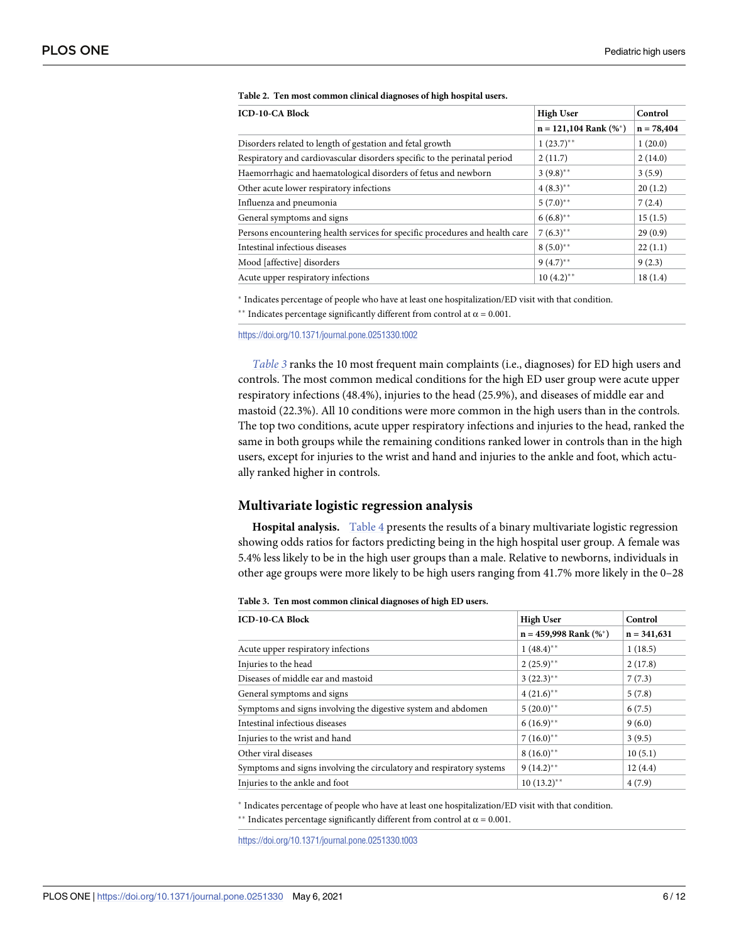| <b>ICD-10-CA Block</b>                                                       | <b>High User</b>            | Control      |
|------------------------------------------------------------------------------|-----------------------------|--------------|
|                                                                              | $n = 121,104$ Rank $(\%^*)$ | $n = 78,404$ |
| Disorders related to length of gestation and fetal growth                    | $1(23.7)$ **                | 1(20.0)      |
| Respiratory and cardiovascular disorders specific to the perinatal period    | 2(11.7)                     | 2(14.0)      |
| Haemorrhagic and haematological disorders of fetus and newborn               | $3(9.8)$ **                 | 3(5.9)       |
| Other acute lower respiratory infections                                     | $4(8.3)$ **                 | 20(1.2)      |
| Influenza and pneumonia                                                      | $5(7.0)$ **                 | 7(2.4)       |
| General symptoms and signs                                                   | $6(6.8)$ **                 | 15(1.5)      |
| Persons encountering health services for specific procedures and health care | $7(6.3)$ **                 | 29(0.9)      |
| Intestinal infectious diseases                                               | $8(5.0)$ **                 | 22(1.1)      |
| Mood [affective] disorders                                                   | $9(4.7)$ **                 | 9(2.3)       |
| Acute upper respiratory infections                                           | $10(4.2)$ **                | 18(1.4)      |

#### <span id="page-5-0"></span>**[Table](#page-3-0) 2. Ten most common clinical diagnoses of high hospital users.**

� Indicates percentage of people who have at least one hospitalization/ED visit with that condition. \*\* Indicates percentage significantly different from control at  $\alpha = 0.001$ .

<https://doi.org/10.1371/journal.pone.0251330.t002>

*Table 3* ranks the 10 most frequent main complaints (i.e., diagnoses) for ED high users and controls. The most common medical conditions for the high ED user group were acute upper respiratory infections (48.4%), injuries to the head (25.9%), and diseases of middle ear and mastoid (22.3%). All 10 conditions were more common in the high users than in the controls. The top two conditions, acute upper respiratory infections and injuries to the head, ranked the same in both groups while the remaining conditions ranked lower in controls than in the high users, except for injuries to the wrist and hand and injuries to the ankle and foot, which actually ranked higher in controls.

#### **Multivariate logistic regression analysis**

**Hospital analysis.** [Table](#page-6-0) 4 presents the results of a binary multivariate logistic regression showing odds ratios for factors predicting being in the high hospital user group. A female was 5.4% less likely to be in the high user groups than a male. Relative to newborns, individuals in other age groups were more likely to be high users ranging from 41.7% more likely in the 0–28

|  | Table 3. Ten most common clinical diagnoses of high ED users. |  |  |  |  |  |
|--|---------------------------------------------------------------|--|--|--|--|--|
|--|---------------------------------------------------------------|--|--|--|--|--|

| <b>ICD-10-CA Block</b>                                               | <b>High User</b>            | Control       |
|----------------------------------------------------------------------|-----------------------------|---------------|
|                                                                      | $n = 459,998$ Rank $(\%^*)$ | $n = 341,631$ |
| Acute upper respiratory infections                                   | $1(48.4)$ **                | 1(18.5)       |
| Injuries to the head                                                 | $2(25.9)$ **                | 2(17.8)       |
| Diseases of middle ear and mastoid                                   | $3(22.3)$ **                | 7(7.3)        |
| General symptoms and signs                                           | $4(21.6)$ **                | 5(7.8)        |
| Symptoms and signs involving the digestive system and abdomen        | $5(20.0)$ **                | 6(7.5)        |
| Intestinal infectious diseases                                       | $6(16.9)$ **                | 9(6.0)        |
| Injuries to the wrist and hand                                       | $7(16.0)^{**}$              | 3(9.5)        |
| Other viral diseases                                                 | $8(16.0)$ **                | 10(5.1)       |
| Symptoms and signs involving the circulatory and respiratory systems | $9(14.2)$ **                | 12(4.4)       |
| Injuries to the ankle and foot                                       | $10(13.2)$ **               | 4(7.9)        |

� Indicates percentage of people who have at least one hospitalization/ED visit with that condition.

\*\* Indicates percentage significantly different from control at  $\alpha$  = 0.001.

<https://doi.org/10.1371/journal.pone.0251330.t003>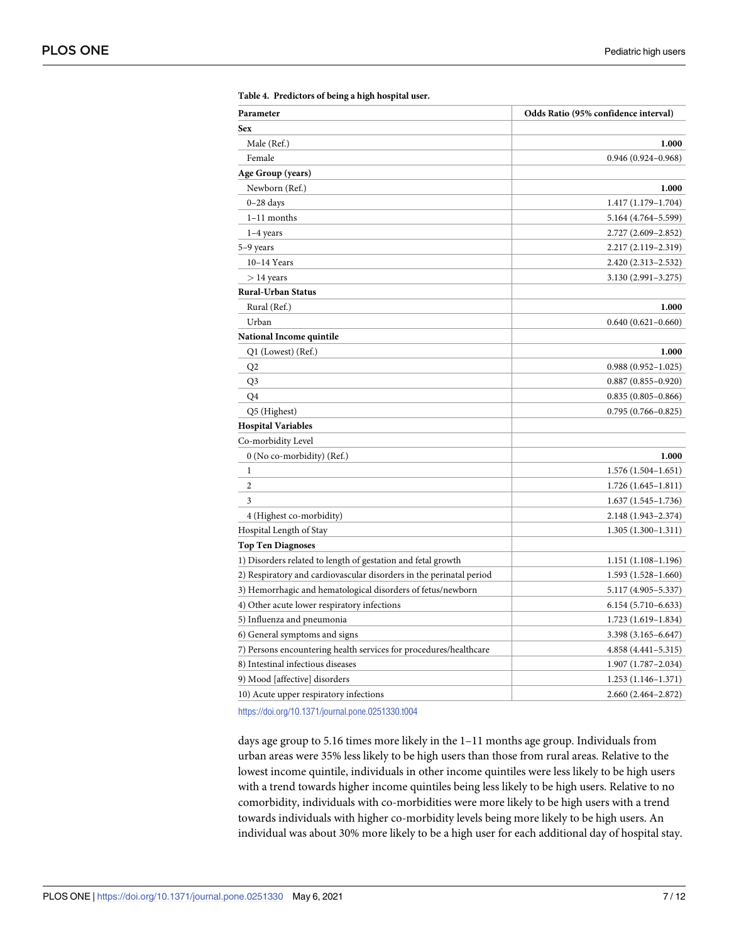| Parameter                                                           | Odds Ratio (95% confidence interval) |
|---------------------------------------------------------------------|--------------------------------------|
| Sex                                                                 |                                      |
| Male (Ref.)                                                         | 1.000                                |
| Female                                                              | $0.946(0.924 - 0.968)$               |
| Age Group (years)                                                   |                                      |
| Newborn (Ref.)                                                      | 1.000                                |
| $0-28$ days                                                         | $1.417(1.179-1.704)$                 |
| $1-11$ months                                                       | 5.164 (4.764–5.599)                  |
| $1-4$ years                                                         | 2.727 (2.609–2.852)                  |
| 5–9 years                                                           | 2.217 (2.119–2.319)                  |
| $10-14$ Years                                                       | 2.420 (2.313-2.532)                  |
| $>$ 14 years                                                        | 3.130 (2.991 - 3.275)                |
| <b>Rural-Urban Status</b>                                           |                                      |
| Rural (Ref.)                                                        | 1.000                                |
| Urban                                                               | $0.640(0.621 - 0.660)$               |
| National Income quintile                                            |                                      |
| Q1 (Lowest) (Ref.)                                                  | 1.000                                |
| Q <sub>2</sub>                                                      | $0.988(0.952 - 1.025)$               |
| Q <sub>3</sub>                                                      | $0.887(0.855 - 0.920)$               |
| Q4                                                                  | $0.835(0.805 - 0.866)$               |
| Q5 (Highest)                                                        | $0.795(0.766 - 0.825)$               |
| <b>Hospital Variables</b>                                           |                                      |
| Co-morbidity Level                                                  |                                      |
| 0 (No co-morbidity) (Ref.)                                          | 1.000                                |
| 1                                                                   | $1.576(1.504 - 1.651)$               |
| $\overline{2}$                                                      | $1.726(1.645 - 1.811)$               |
| 3                                                                   | $1.637(1.545-1.736)$                 |
| 4 (Highest co-morbidity)                                            | 2.148 (1.943-2.374)                  |
| Hospital Length of Stay                                             | $1.305(1.300 - 1.311)$               |
| <b>Top Ten Diagnoses</b>                                            |                                      |
| 1) Disorders related to length of gestation and fetal growth        | 1.151 (1.108–1.196)                  |
| 2) Respiratory and cardiovascular disorders in the perinatal period | $1.593(1.528 - 1.660)$               |
| 3) Hemorrhagic and hematological disorders of fetus/newborn         | 5.117 (4.905–5.337)                  |
| 4) Other acute lower respiratory infections                         | $6.154(5.710-6.633)$                 |
| 5) Influenza and pneumonia                                          | 1.723 (1.619-1.834)                  |
| 6) General symptoms and signs                                       | 3.398 (3.165–6.647)                  |
| 7) Persons encountering health services for procedures/healthcare   | $4.858(4.441 - 5.315)$               |
| 8) Intestinal infectious diseases                                   | $1.907(1.787 - 2.034)$               |
| 9) Mood [affective] disorders                                       | $1.253(1.146 - 1.371)$               |
| 10) Acute upper respiratory infections                              | 2.660 (2.464–2.872)                  |

<span id="page-6-0"></span>

| Table 4. Predictors of being a high hospital user. |  |  |  |  |  |  |
|----------------------------------------------------|--|--|--|--|--|--|
|----------------------------------------------------|--|--|--|--|--|--|

<https://doi.org/10.1371/journal.pone.0251330.t004>

days age group to 5.16 times more likely in the 1–11 months age group. Individuals from urban areas were 35% less likely to be high users than those from rural areas. Relative to the lowest income quintile, individuals in other income quintiles were less likely to be high users with a trend towards higher income quintiles being less likely to be high users. Relative to no comorbidity, individuals with co-morbidities were more likely to be high users with a trend towards individuals with higher co-morbidity levels being more likely to be high users. An individual was about 30% more likely to be a high user for each additional day of hospital stay.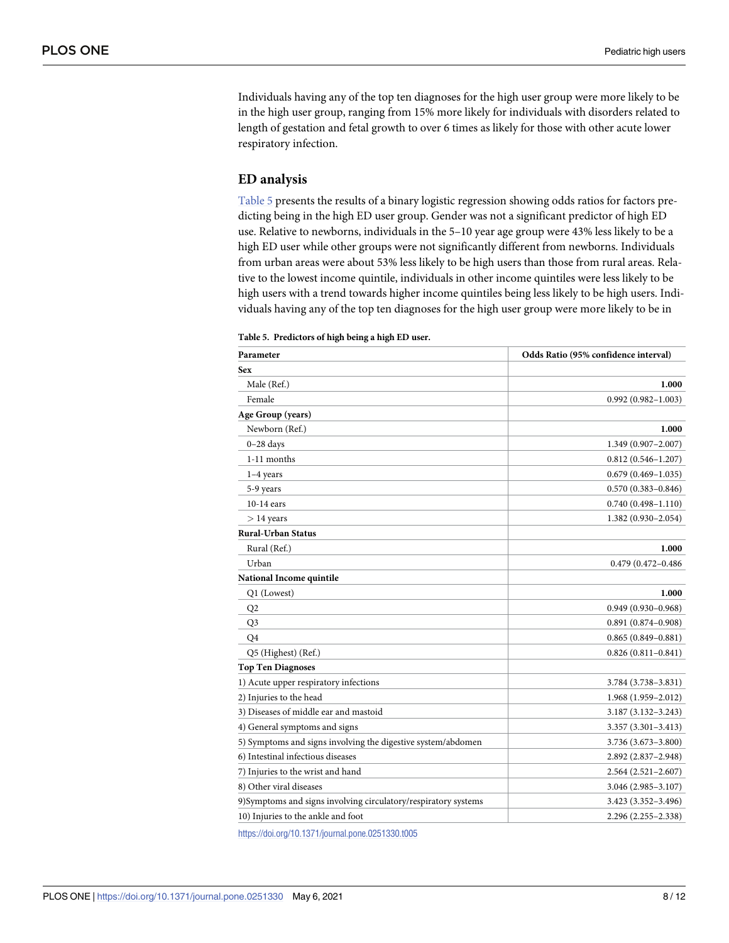Individuals having any of the top ten diagnoses for the high user group were more likely to be in the high user group, ranging from 15% more likely for individuals with disorders related to length of gestation and fetal growth to over 6 times as likely for those with other acute lower respiratory infection.

#### **ED analysis**

Table 5 presents the results of a binary logistic regression showing odds ratios for factors predicting being in the high ED user group. Gender was not a significant predictor of high ED use. Relative to newborns, individuals in the 5–10 year age group were 43% less likely to be a high ED user while other groups were not significantly different from newborns. Individuals from urban areas were about 53% less likely to be high users than those from rural areas. Relative to the lowest income quintile, individuals in other income quintiles were less likely to be high users with a trend towards higher income quintiles being less likely to be high users. Individuals having any of the top ten diagnoses for the high user group were more likely to be in

| Parameter                                                      | Odds Ratio (95% confidence interval) |
|----------------------------------------------------------------|--------------------------------------|
| <b>Sex</b>                                                     |                                      |
| Male (Ref.)                                                    | 1.000                                |
| Female                                                         | $0.992(0.982 - 1.003)$               |
| Age Group (years)                                              |                                      |
| Newborn (Ref.)                                                 | 1.000                                |
| $0-28$ days                                                    | 1.349 (0.907-2.007)                  |
| 1-11 months                                                    | $0.812(0.546 - 1.207)$               |
| $1-4$ years                                                    | $0.679(0.469 - 1.035)$               |
| 5-9 years                                                      | $0.570(0.383 - 0.846)$               |
| $10-14$ ears                                                   | $0.740(0.498 - 1.110)$               |
| $> 14$ years                                                   | 1.382 (0.930-2.054)                  |
| <b>Rural-Urban Status</b>                                      |                                      |
| Rural (Ref.)                                                   | 1.000                                |
| Urban                                                          | 0.479 (0.472-0.486                   |
| National Income quintile                                       |                                      |
| Q1 (Lowest)                                                    | 1.000                                |
| Q <sub>2</sub>                                                 | $0.949(0.930 - 0.968)$               |
| Q <sub>3</sub>                                                 | $0.891(0.874 - 0.908)$               |
| O <sub>4</sub>                                                 | $0.865(0.849 - 0.881)$               |
| Q5 (Highest) (Ref.)                                            | $0.826(0.811 - 0.841)$               |
| <b>Top Ten Diagnoses</b>                                       |                                      |
| 1) Acute upper respiratory infections                          | 3.784 (3.738-3.831)                  |
| 2) Injuries to the head                                        | $1.968(1.959 - 2.012)$               |
| 3) Diseases of middle ear and mastoid                          | 3.187 (3.132-3.243)                  |
| 4) General symptoms and signs                                  | $3.357(3.301 - 3.413)$               |
| 5) Symptoms and signs involving the digestive system/abdomen   | 3.736 (3.673–3.800)                  |
| 6) Intestinal infectious diseases                              | 2.892 (2.837-2.948)                  |
| 7) Injuries to the wrist and hand                              | $2.564(2.521 - 2.607)$               |
| 8) Other viral diseases                                        | 3.046 (2.985-3.107)                  |
| 9)Symptoms and signs involving circulatory/respiratory systems | 3.423 (3.352-3.496)                  |
| 10) Injuries to the ankle and foot                             | 2.296 (2.255–2.338)                  |
| https://doi.org/10.1371/journal.pone.0251330.t005              |                                      |

|  | Table 5. Predictors of high being a high ED user. |  |  |  |  |
|--|---------------------------------------------------|--|--|--|--|
|--|---------------------------------------------------|--|--|--|--|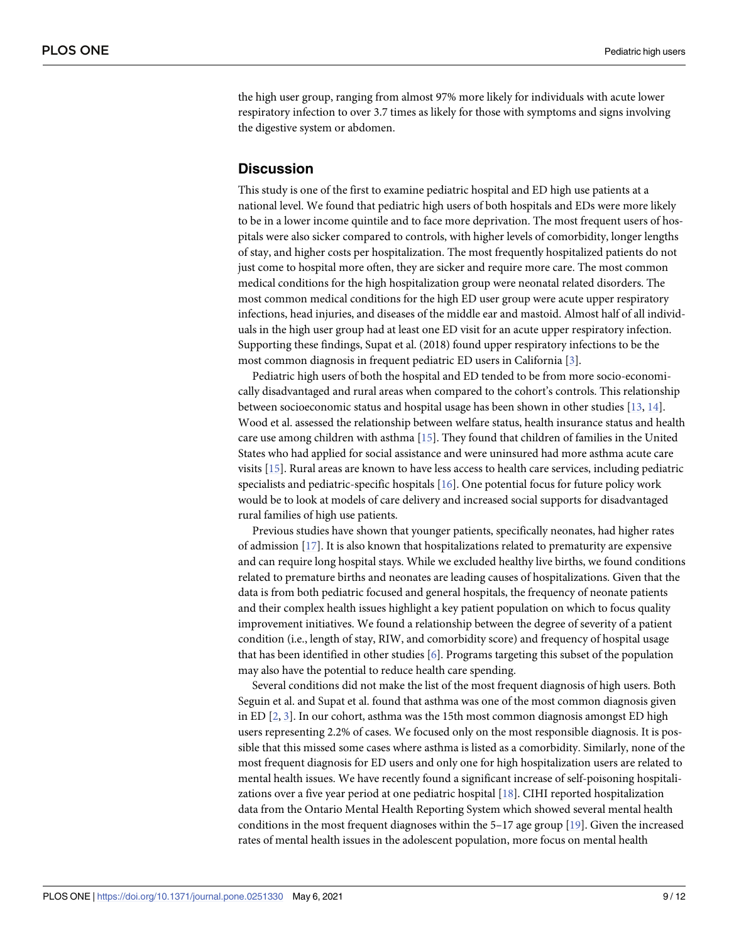<span id="page-8-0"></span>the high user group, ranging from almost 97% more likely for individuals with acute lower respiratory infection to over 3.7 times as likely for those with symptoms and signs involving the digestive system or abdomen.

#### **Discussion**

This study is one of the first to examine pediatric hospital and ED high use patients at a national level. We found that pediatric high users of both hospitals and EDs were more likely to be in a lower income quintile and to face more deprivation. The most frequent users of hospitals were also sicker compared to controls, with higher levels of comorbidity, longer lengths of stay, and higher costs per hospitalization. The most frequently hospitalized patients do not just come to hospital more often, they are sicker and require more care. The most common medical conditions for the high hospitalization group were neonatal related disorders. The most common medical conditions for the high ED user group were acute upper respiratory infections, head injuries, and diseases of the middle ear and mastoid. Almost half of all individuals in the high user group had at least one ED visit for an acute upper respiratory infection. Supporting these findings, Supat et al. (2018) found upper respiratory infections to be the most common diagnosis in frequent pediatric ED users in California [\[3\]](#page-10-0).

Pediatric high users of both the hospital and ED tended to be from more socio-economically disadvantaged and rural areas when compared to the cohort's controls. This relationship between socioeconomic status and hospital usage has been shown in other studies [[13](#page-10-0), [14](#page-10-0)]. Wood et al. assessed the relationship between welfare status, health insurance status and health care use among children with asthma [[15](#page-10-0)]. They found that children of families in the United States who had applied for social assistance and were uninsured had more asthma acute care visits [[15](#page-10-0)]. Rural areas are known to have less access to health care services, including pediatric specialists and pediatric-specific hospitals [[16](#page-10-0)]. One potential focus for future policy work would be to look at models of care delivery and increased social supports for disadvantaged rural families of high use patients.

Previous studies have shown that younger patients, specifically neonates, had higher rates of admission [[17](#page-10-0)]. It is also known that hospitalizations related to prematurity are expensive and can require long hospital stays. While we excluded healthy live births, we found conditions related to premature births and neonates are leading causes of hospitalizations. Given that the data is from both pediatric focused and general hospitals, the frequency of neonate patients and their complex health issues highlight a key patient population on which to focus quality improvement initiatives. We found a relationship between the degree of severity of a patient condition (i.e., length of stay, RIW, and comorbidity score) and frequency of hospital usage that has been identified in other studies [\[6\]](#page-10-0). Programs targeting this subset of the population may also have the potential to reduce health care spending.

Several conditions did not make the list of the most frequent diagnosis of high users. Both Seguin et al. and Supat et al. found that asthma was one of the most common diagnosis given in ED [\[2,](#page-10-0) [3\]](#page-10-0). In our cohort, asthma was the 15th most common diagnosis amongst ED high users representing 2.2% of cases. We focused only on the most responsible diagnosis. It is possible that this missed some cases where asthma is listed as a comorbidity. Similarly, none of the most frequent diagnosis for ED users and only one for high hospitalization users are related to mental health issues. We have recently found a significant increase of self-poisoning hospitalizations over a five year period at one pediatric hospital [[18](#page-11-0)]. CIHI reported hospitalization data from the Ontario Mental Health Reporting System which showed several mental health conditions in the most frequent diagnoses within the 5–17 age group [\[19\]](#page-11-0). Given the increased rates of mental health issues in the adolescent population, more focus on mental health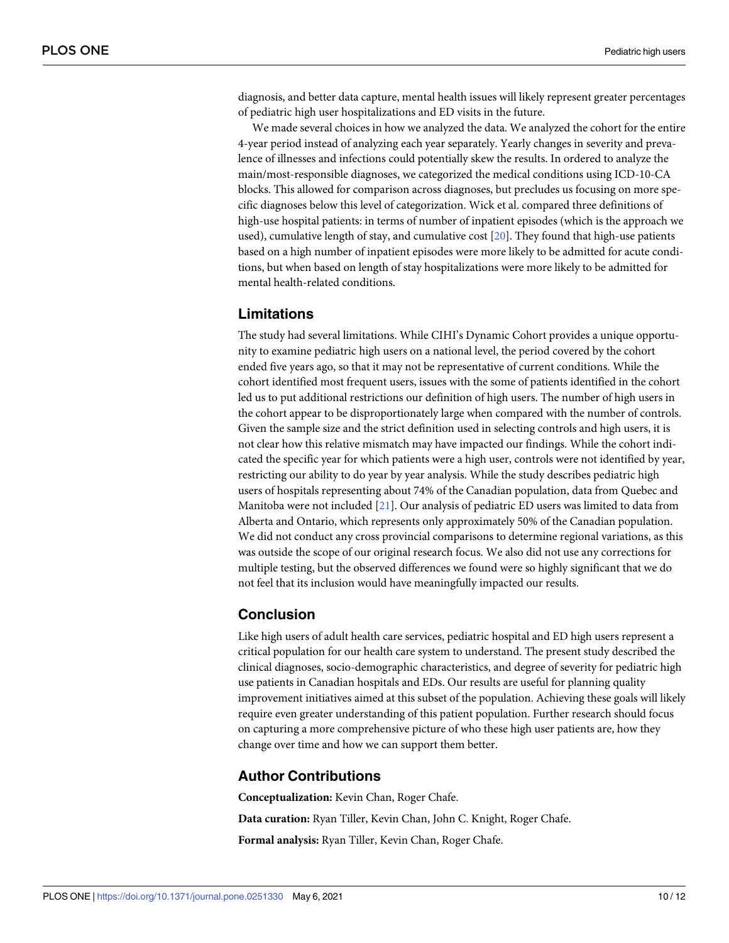<span id="page-9-0"></span>diagnosis, and better data capture, mental health issues will likely represent greater percentages of pediatric high user hospitalizations and ED visits in the future.

We made several choices in how we analyzed the data. We analyzed the cohort for the entire 4-year period instead of analyzing each year separately. Yearly changes in severity and prevalence of illnesses and infections could potentially skew the results. In ordered to analyze the main/most-responsible diagnoses, we categorized the medical conditions using ICD-10-CA blocks. This allowed for comparison across diagnoses, but precludes us focusing on more specific diagnoses below this level of categorization. Wick et al. compared three definitions of high-use hospital patients: in terms of number of inpatient episodes (which is the approach we used), cumulative length of stay, and cumulative cost [\[20\]](#page-11-0). They found that high-use patients based on a high number of inpatient episodes were more likely to be admitted for acute conditions, but when based on length of stay hospitalizations were more likely to be admitted for mental health-related conditions.

# **Limitations**

The study had several limitations. While CIHI's Dynamic Cohort provides a unique opportunity to examine pediatric high users on a national level, the period covered by the cohort ended five years ago, so that it may not be representative of current conditions. While the cohort identified most frequent users, issues with the some of patients identified in the cohort led us to put additional restrictions our definition of high users. The number of high users in the cohort appear to be disproportionately large when compared with the number of controls. Given the sample size and the strict definition used in selecting controls and high users, it is not clear how this relative mismatch may have impacted our findings. While the cohort indicated the specific year for which patients were a high user, controls were not identified by year, restricting our ability to do year by year analysis. While the study describes pediatric high users of hospitals representing about 74% of the Canadian population, data from Quebec and Manitoba were not included [[21](#page-11-0)]. Our analysis of pediatric ED users was limited to data from Alberta and Ontario, which represents only approximately 50% of the Canadian population. We did not conduct any cross provincial comparisons to determine regional variations, as this was outside the scope of our original research focus. We also did not use any corrections for multiple testing, but the observed differences we found were so highly significant that we do not feel that its inclusion would have meaningfully impacted our results.

#### **Conclusion**

Like high users of adult health care services, pediatric hospital and ED high users represent a critical population for our health care system to understand. The present study described the clinical diagnoses, socio-demographic characteristics, and degree of severity for pediatric high use patients in Canadian hospitals and EDs. Our results are useful for planning quality improvement initiatives aimed at this subset of the population. Achieving these goals will likely require even greater understanding of this patient population. Further research should focus on capturing a more comprehensive picture of who these high user patients are, how they change over time and how we can support them better.

#### **Author Contributions**

**Conceptualization:** Kevin Chan, Roger Chafe. **Data curation:** Ryan Tiller, Kevin Chan, John C. Knight, Roger Chafe. **Formal analysis:** Ryan Tiller, Kevin Chan, Roger Chafe.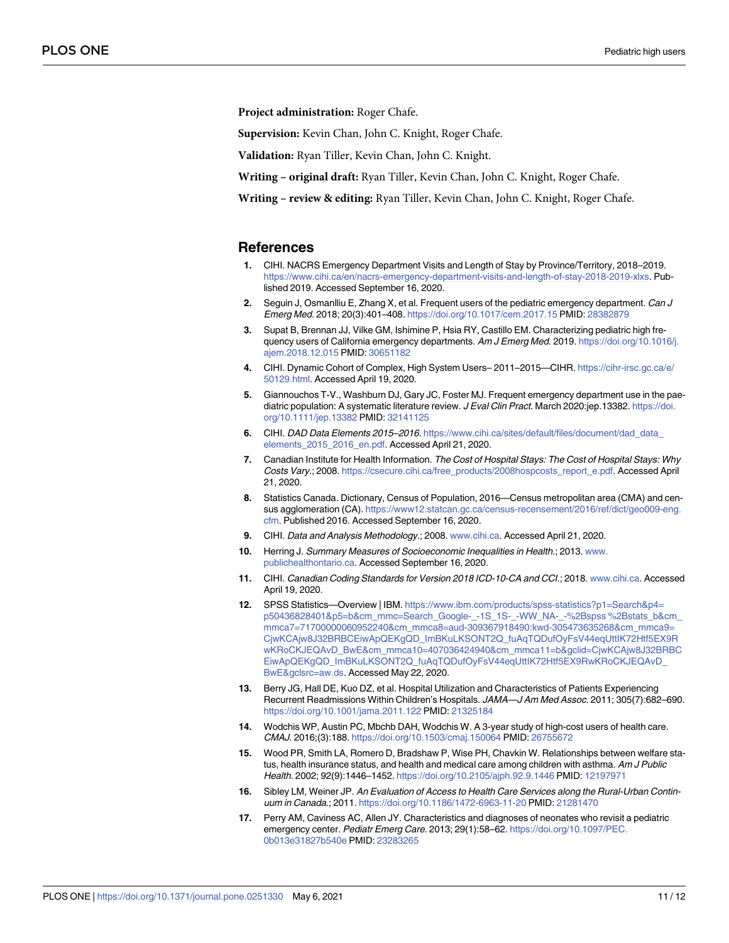<span id="page-10-0"></span>**Project administration:** Roger Chafe.

**Supervision:** Kevin Chan, John C. Knight, Roger Chafe.

**Validation:** Ryan Tiller, Kevin Chan, John C. Knight.

**Writing – original draft:** Ryan Tiller, Kevin Chan, John C. Knight, Roger Chafe.

**Writing – review & editing:** Ryan Tiller, Kevin Chan, John C. Knight, Roger Chafe.

#### **References**

- **[1](#page-1-0).** CIHI. NACRS Emergency Department Visits and Length of Stay by Province/Territory, 2018–2019. <https://www.cihi.ca/en/nacrs-emergency-department-visits-and-length-of-stay-2018-2019-xlxs>. Published 2019. Accessed September 16, 2020.
- **[2](#page-1-0).** Seguin J, Osmanlliu E, Zhang X, et al. Frequent users of the pediatric emergency department. Can J Emerg Med. 2018; 20(3):401–408. <https://doi.org/10.1017/cem.2017.15> PMID: [28382879](http://www.ncbi.nlm.nih.gov/pubmed/28382879)
- **[3](#page-1-0).** Supat B, Brennan JJ, Vilke GM, Ishimine P, Hsia RY, Castillo EM. Characterizing pediatric high frequency users of California emergency departments. Am J Emerg Med. 2019. [https://doi.org/10.1016/j.](https://doi.org/10.1016/j.ajem.2018.12.015) [ajem.2018.12.015](https://doi.org/10.1016/j.ajem.2018.12.015) PMID: [30651182](http://www.ncbi.nlm.nih.gov/pubmed/30651182)
- **[4](#page-1-0).** CIHI. Dynamic Cohort of Complex, High System Users– 2011–2015—CIHR. [https://cihr-irsc.gc.ca/e/](https://cihr-irsc.gc.ca/e/50129.html) [50129.html](https://cihr-irsc.gc.ca/e/50129.html). Accessed April 19, 2020.
- **[5](#page-2-0).** Giannouchos T-V., Washburn DJ, Gary JC, Foster MJ. Frequent emergency department use in the paediatric population: A systematic literature review. J Eval Clin Pract. March 2020:jep.13382. [https://doi.](https://doi.org/10.1111/jep.13382) [org/10.1111/jep.13382](https://doi.org/10.1111/jep.13382) PMID: [32141125](http://www.ncbi.nlm.nih.gov/pubmed/32141125)
- **[6](#page-2-0).** CIHI. DAD Data Elements 2015–2016. [https://www.cihi.ca/sites/default/files/document/dad\\_data\\_](https://www.cihi.ca/sites/default/files/document/dad_data_elements_2015_2016_en.pdf) [elements\\_2015\\_2016\\_en.pdf](https://www.cihi.ca/sites/default/files/document/dad_data_elements_2015_2016_en.pdf). Accessed April 21, 2020.
- **[7](#page-2-0).** Canadian Institute for Health Information. The Cost of Hospital Stays: The Cost of Hospital Stays: Why Costs Vary.; 2008. [https://csecure.cihi.ca/free\\_products/2008hospcosts\\_report\\_e.pdf](https://secure.cihi.ca/free_products/2008hospcosts_report_e.pdf). Accessed April 21, 2020.
- **[8](#page-2-0).** Statistics Canada. Dictionary, Census of Population, 2016—Census metropolitan area (CMA) and census agglomeration (CA). [https://www12.statcan.gc.ca/census-recensement/2016/ref/dict/geo009-eng.](https://www12.statcan.gc.ca/census-recensement/2016/ref/dict/geo009-eng.cfm) [cfm](https://www12.statcan.gc.ca/census-recensement/2016/ref/dict/geo009-eng.cfm). Published 2016. Accessed September 16, 2020.
- **[9](#page-2-0).** CIHI. Data and Analysis Methodology.; 2008. [www.cihi.ca.](http://www.cihi.ca) Accessed April 21, 2020.
- **[10](#page-2-0).** Herring J. Summary Measures of Socioeconomic Inequalities in Health.; 2013. [www.](http://www.publichealthontario.ca) [publichealthontario.ca.](http://www.publichealthontario.ca) Accessed September 16, 2020.
- **[11](#page-2-0).** CIHI. Canadian Coding Standards for Version 2018 ICD-10-CA and CCI.; 2018. [www.cihi.ca](http://www.cihi.ca). Accessed April 19, 2020.
- [12](#page-2-0). SPSS Statistics—Overview | IBM. [https://www.ibm.com/products/spss-statistics?p1=Search&p4=](https://www.ibm.com/products/spss-statistics?p1=Search&p4=p50436828401&p5=b&cm_mmc=Search_Google-_-1S_1S-_-WW_NA-_-%2Bspss%2Bstats_b&cm_mmca7=71700000060952240&cm_mmca8=aud-309367918490:kwd-305473635268&cm_mmca9=CjwKCAjw8J32BRBCEiwApQEKgQD_ImBKuLKSONT2Q_fuAqTQDufOyFsV44eqUttIK72Htf5EX9RwKRoCKJEQAvD_BwE&cm_mmca10=407036424940&cm_mmca11=b&gclid=CjwKCAjw8J32BRBCEiwApQEKgQD_ImBKuLKSONT2Q_fuAqTQDufOyFsV44eqUttIK72Htf5EX9RwKRoCKJEQAvD_BwE&gclsrc=aw.ds) [p50436828401&p5=b&cm\\_mmc=Search\\_Google-\\_-1S\\_1S-\\_-WW\\_NA-\\_-%2Bspss](https://www.ibm.com/products/spss-statistics?p1=Search&p4=p50436828401&p5=b&cm_mmc=Search_Google-_-1S_1S-_-WW_NA-_-%2Bspss%2Bstats_b&cm_mmca7=71700000060952240&cm_mmca8=aud-309367918490:kwd-305473635268&cm_mmca9=CjwKCAjw8J32BRBCEiwApQEKgQD_ImBKuLKSONT2Q_fuAqTQDufOyFsV44eqUttIK72Htf5EX9RwKRoCKJEQAvD_BwE&cm_mmca10=407036424940&cm_mmca11=b&gclid=CjwKCAjw8J32BRBCEiwApQEKgQD_ImBKuLKSONT2Q_fuAqTQDufOyFsV44eqUttIK72Htf5EX9RwKRoCKJEQAvD_BwE&gclsrc=aw.ds) %2Bstats\_b&cm\_ [mmca7=71700000060952240&cm\\_mmca8=aud-309367918490:kwd-305473635268&cm\\_mmca9=](https://www.ibm.com/products/spss-statistics?p1=Search&p4=p50436828401&p5=b&cm_mmc=Search_Google-_-1S_1S-_-WW_NA-_-%2Bspss%2Bstats_b&cm_mmca7=71700000060952240&cm_mmca8=aud-309367918490:kwd-305473635268&cm_mmca9=CjwKCAjw8J32BRBCEiwApQEKgQD_ImBKuLKSONT2Q_fuAqTQDufOyFsV44eqUttIK72Htf5EX9RwKRoCKJEQAvD_BwE&cm_mmca10=407036424940&cm_mmca11=b&gclid=CjwKCAjw8J32BRBCEiwApQEKgQD_ImBKuLKSONT2Q_fuAqTQDufOyFsV44eqUttIK72Htf5EX9RwKRoCKJEQAvD_BwE&gclsrc=aw.ds) [CjwKCAjw8J32BRBCEiwApQEKgQD\\_ImBKuLKSONT2Q\\_fuAqTQDufOyFsV44eqUttIK72Htf5EX9R](https://www.ibm.com/products/spss-statistics?p1=Search&p4=p50436828401&p5=b&cm_mmc=Search_Google-_-1S_1S-_-WW_NA-_-%2Bspss%2Bstats_b&cm_mmca7=71700000060952240&cm_mmca8=aud-309367918490:kwd-305473635268&cm_mmca9=CjwKCAjw8J32BRBCEiwApQEKgQD_ImBKuLKSONT2Q_fuAqTQDufOyFsV44eqUttIK72Htf5EX9RwKRoCKJEQAvD_BwE&cm_mmca10=407036424940&cm_mmca11=b&gclid=CjwKCAjw8J32BRBCEiwApQEKgQD_ImBKuLKSONT2Q_fuAqTQDufOyFsV44eqUttIK72Htf5EX9RwKRoCKJEQAvD_BwE&gclsrc=aw.ds) [wKRoCKJEQAvD\\_BwE&cm\\_mmca10=407036424940&cm\\_mmca11=b&gclid=CjwKCAjw8J32BRBC](https://www.ibm.com/products/spss-statistics?p1=Search&p4=p50436828401&p5=b&cm_mmc=Search_Google-_-1S_1S-_-WW_NA-_-%2Bspss%2Bstats_b&cm_mmca7=71700000060952240&cm_mmca8=aud-309367918490:kwd-305473635268&cm_mmca9=CjwKCAjw8J32BRBCEiwApQEKgQD_ImBKuLKSONT2Q_fuAqTQDufOyFsV44eqUttIK72Htf5EX9RwKRoCKJEQAvD_BwE&cm_mmca10=407036424940&cm_mmca11=b&gclid=CjwKCAjw8J32BRBCEiwApQEKgQD_ImBKuLKSONT2Q_fuAqTQDufOyFsV44eqUttIK72Htf5EX9RwKRoCKJEQAvD_BwE&gclsrc=aw.ds) [EiwApQEKgQD\\_ImBKuLKSONT2Q\\_fuAqTQDufOyFsV44eqUttIK72Htf5EX9RwKRoCKJEQAvD\\_](https://www.ibm.com/products/spss-statistics?p1=Search&p4=p50436828401&p5=b&cm_mmc=Search_Google-_-1S_1S-_-WW_NA-_-%2Bspss%2Bstats_b&cm_mmca7=71700000060952240&cm_mmca8=aud-309367918490:kwd-305473635268&cm_mmca9=CjwKCAjw8J32BRBCEiwApQEKgQD_ImBKuLKSONT2Q_fuAqTQDufOyFsV44eqUttIK72Htf5EX9RwKRoCKJEQAvD_BwE&cm_mmca10=407036424940&cm_mmca11=b&gclid=CjwKCAjw8J32BRBCEiwApQEKgQD_ImBKuLKSONT2Q_fuAqTQDufOyFsV44eqUttIK72Htf5EX9RwKRoCKJEQAvD_BwE&gclsrc=aw.ds) [BwE&gclsrc=aw.ds.](https://www.ibm.com/products/spss-statistics?p1=Search&p4=p50436828401&p5=b&cm_mmc=Search_Google-_-1S_1S-_-WW_NA-_-%2Bspss%2Bstats_b&cm_mmca7=71700000060952240&cm_mmca8=aud-309367918490:kwd-305473635268&cm_mmca9=CjwKCAjw8J32BRBCEiwApQEKgQD_ImBKuLKSONT2Q_fuAqTQDufOyFsV44eqUttIK72Htf5EX9RwKRoCKJEQAvD_BwE&cm_mmca10=407036424940&cm_mmca11=b&gclid=CjwKCAjw8J32BRBCEiwApQEKgQD_ImBKuLKSONT2Q_fuAqTQDufOyFsV44eqUttIK72Htf5EX9RwKRoCKJEQAvD_BwE&gclsrc=aw.ds) Accessed May 22, 2020.
- **[13](#page-8-0).** Berry JG, Hall DE, Kuo DZ, et al. Hospital Utilization and Characteristics of Patients Experiencing Recurrent Readmissions Within Children's Hospitals. JAMA—J Am Med Assoc. 2011; 305(7):682–690. <https://doi.org/10.1001/jama.2011.122> PMID: [21325184](http://www.ncbi.nlm.nih.gov/pubmed/21325184)
- **[14](#page-8-0).** Wodchis WP, Austin PC, Mbchb DAH, Wodchis W. A 3-year study of high-cost users of health care. CMAJ. 2016;(3):188. <https://doi.org/10.1503/cmaj.150064> PMID: [26755672](http://www.ncbi.nlm.nih.gov/pubmed/26755672)
- **[15](#page-8-0).** Wood PR, Smith LA, Romero D, Bradshaw P, Wise PH, Chavkin W. Relationships between welfare status, health insurance status, and health and medical care among children with asthma. Am J Public Health. 2002; 92(9):1446–1452. <https://doi.org/10.2105/ajph.92.9.1446> PMID: [12197971](http://www.ncbi.nlm.nih.gov/pubmed/12197971)
- **[16](#page-8-0).** Sibley LM, Weiner JP. An Evaluation of Access to Health Care Services along the Rural-Urban Continuum in Canada.; 2011. <https://doi.org/10.1186/1472-6963-11-20> PMID: [21281470](http://www.ncbi.nlm.nih.gov/pubmed/21281470)
- **[17](#page-8-0).** Perry AM, Caviness AC, Allen JY. Characteristics and diagnoses of neonates who revisit a pediatric emergency center. Pediatr Emerg Care. 2013; 29(1):58–62. [https://doi.org/10.1097/PEC.](https://doi.org/10.1097/PEC.0b013e31827b540e) [0b013e31827b540e](https://doi.org/10.1097/PEC.0b013e31827b540e) PMID: [23283265](http://www.ncbi.nlm.nih.gov/pubmed/23283265)